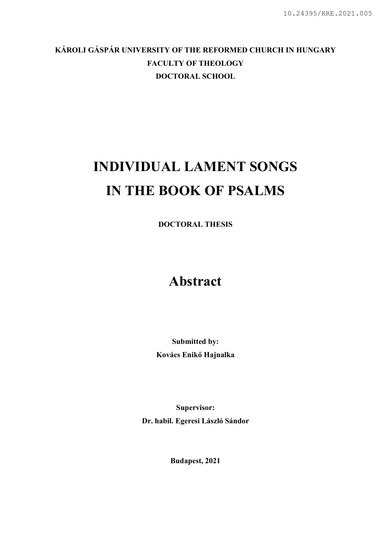### KÁROLI GÁSPÁR UNIVERSITY OF THE REFORMED CHURCH IN HUNGARY FACULTY OF THEOLOGY DOCTORAL SCHOOL

# INDIVIDUAL LAMENT SONGS IN THE BOOK OF PSALMS

DOCTORAL THESIS

## Abstract

Submitted by: Kovács Enikő Hajnalka

Supervisor: Dr. habil. Egeresi László Sándor

Budapest, 2021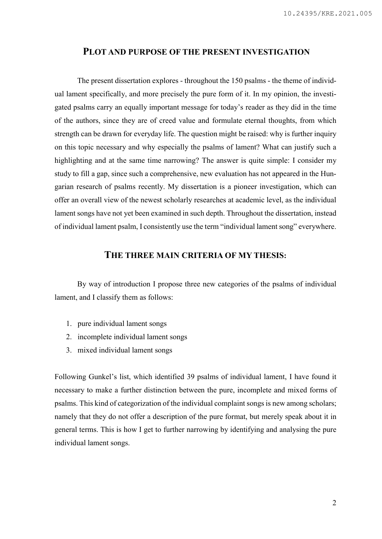#### PLOT AND PURPOSE OF THE PRESENT INVESTIGATION

The present dissertation explores - throughout the 150 psalms - the theme of individual lament specifically, and more precisely the pure form of it. In my opinion, the investigated psalms carry an equally important message for today's reader as they did in the time of the authors, since they are of creed value and formulate eternal thoughts, from which strength can be drawn for everyday life. The question might be raised: why is further inquiry on this topic necessary and why especially the psalms of lament? What can justify such a highlighting and at the same time narrowing? The answer is quite simple: I consider my study to fill a gap, since such a comprehensive, new evaluation has not appeared in the Hungarian research of psalms recently. My dissertation is a pioneer investigation, which can offer an overall view of the newest scholarly researches at academic level, as the individual lament songs have not yet been examined in such depth. Throughout the dissertation, instead of individual lament psalm, I consistently use the term "individual lament song" everywhere.

#### THE THREE MAIN CRITERIA OF MY THESIS:

By way of introduction I propose three new categories of the psalms of individual lament, and I classify them as follows:

- 1. pure individual lament songs
- 2. incomplete individual lament songs
- 3. mixed individual lament songs

Following Gunkel's list, which identified 39 psalms of individual lament, I have found it necessary to make a further distinction between the pure, incomplete and mixed forms of psalms. This kind of categorization of the individual complaint songs is new among scholars; namely that they do not offer a description of the pure format, but merely speak about it in general terms. This is how I get to further narrowing by identifying and analysing the pure individual lament songs.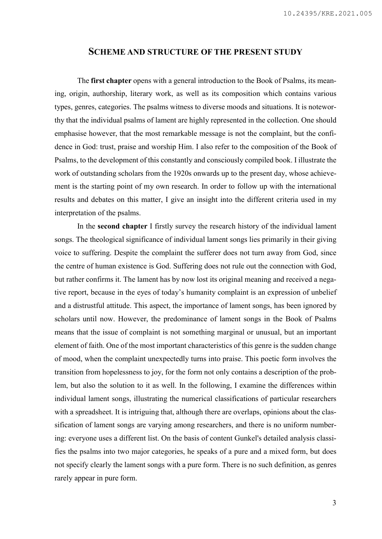#### SCHEME AND STRUCTURE OF THE PRESENT STUDY

The first chapter opens with a general introduction to the Book of Psalms, its meaning, origin, authorship, literary work, as well as its composition which contains various types, genres, categories. The psalms witness to diverse moods and situations. It is noteworthy that the individual psalms of lament are highly represented in the collection. One should emphasise however, that the most remarkable message is not the complaint, but the confidence in God: trust, praise and worship Him. I also refer to the composition of the Book of Psalms, to the development of this constantly and consciously compiled book. I illustrate the work of outstanding scholars from the 1920s onwards up to the present day, whose achievement is the starting point of my own research. In order to follow up with the international results and debates on this matter, I give an insight into the different criteria used in my interpretation of the psalms.

In the second chapter I firstly survey the research history of the individual lament songs. The theological significance of individual lament songs lies primarily in their giving voice to suffering. Despite the complaint the sufferer does not turn away from God, since the centre of human existence is God. Suffering does not rule out the connection with God, but rather confirms it. The lament has by now lost its original meaning and received a negative report, because in the eyes of today's humanity complaint is an expression of unbelief and a distrustful attitude. This aspect, the importance of lament songs, has been ignored by scholars until now. However, the predominance of lament songs in the Book of Psalms means that the issue of complaint is not something marginal or unusual, but an important element of faith. One of the most important characteristics of this genre is the sudden change of mood, when the complaint unexpectedly turns into praise. This poetic form involves the transition from hopelessness to joy, for the form not only contains a description of the problem, but also the solution to it as well. In the following, I examine the differences within individual lament songs, illustrating the numerical classifications of particular researchers with a spreadsheet. It is intriguing that, although there are overlaps, opinions about the classification of lament songs are varying among researchers, and there is no uniform numbering: everyone uses a different list. On the basis of content Gunkel's detailed analysis classifies the psalms into two major categories, he speaks of a pure and a mixed form, but does not specify clearly the lament songs with a pure form. There is no such definition, as genres rarely appear in pure form.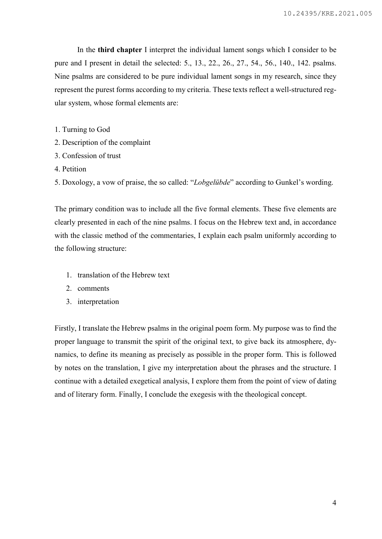In the third chapter I interpret the individual lament songs which I consider to be pure and I present in detail the selected: 5., 13., 22., 26., 27., 54., 56., 140., 142. psalms. Nine psalms are considered to be pure individual lament songs in my research, since they represent the purest forms according to my criteria. These texts reflect a well-structured regular system, whose formal elements are:

- 1. Turning to God
- 2. Description of the complaint
- 3. Confession of trust
- 4. Petition
- 5. Doxology, a vow of praise, the so called: "Lobgelübde" according to Gunkel's wording.

The primary condition was to include all the five formal elements. These five elements are clearly presented in each of the nine psalms. I focus on the Hebrew text and, in accordance with the classic method of the commentaries, I explain each psalm uniformly according to the following structure:

- 1. translation of the Hebrew text
- 2. comments
- 3. interpretation

Firstly, I translate the Hebrew psalms in the original poem form. My purpose was to find the proper language to transmit the spirit of the original text, to give back its atmosphere, dynamics, to define its meaning as precisely as possible in the proper form. This is followed by notes on the translation, I give my interpretation about the phrases and the structure. I continue with a detailed exegetical analysis, I explore them from the point of view of dating and of literary form. Finally, I conclude the exegesis with the theological concept.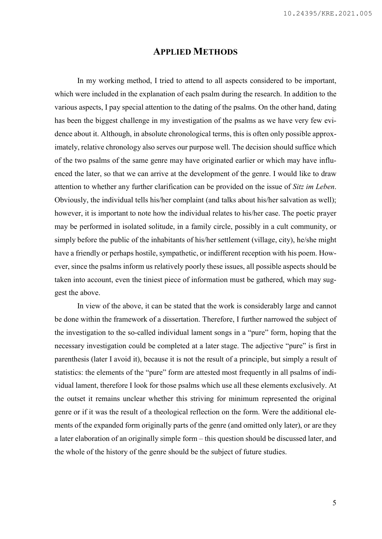#### APPLIED METHODS

In my working method, I tried to attend to all aspects considered to be important, which were included in the explanation of each psalm during the research. In addition to the various aspects, I pay special attention to the dating of the psalms. On the other hand, dating has been the biggest challenge in my investigation of the psalms as we have very few evidence about it. Although, in absolute chronological terms, this is often only possible approximately, relative chronology also serves our purpose well. The decision should suffice which of the two psalms of the same genre may have originated earlier or which may have influenced the later, so that we can arrive at the development of the genre. I would like to draw attention to whether any further clarification can be provided on the issue of Sitz im Leben. Obviously, the individual tells his/her complaint (and talks about his/her salvation as well); however, it is important to note how the individual relates to his/her case. The poetic prayer may be performed in isolated solitude, in a family circle, possibly in a cult community, or simply before the public of the inhabitants of his/her settlement (village, city), he/she might have a friendly or perhaps hostile, sympathetic, or indifferent reception with his poem. However, since the psalms inform us relatively poorly these issues, all possible aspects should be taken into account, even the tiniest piece of information must be gathered, which may suggest the above.

In view of the above, it can be stated that the work is considerably large and cannot be done within the framework of a dissertation. Therefore, I further narrowed the subject of the investigation to the so-called individual lament songs in a "pure" form, hoping that the necessary investigation could be completed at a later stage. The adjective "pure" is first in parenthesis (later I avoid it), because it is not the result of a principle, but simply a result of statistics: the elements of the "pure" form are attested most frequently in all psalms of individual lament, therefore I look for those psalms which use all these elements exclusively. At the outset it remains unclear whether this striving for minimum represented the original genre or if it was the result of a theological reflection on the form. Were the additional elements of the expanded form originally parts of the genre (and omitted only later), or are they a later elaboration of an originally simple form – this question should be discussed later, and the whole of the history of the genre should be the subject of future studies.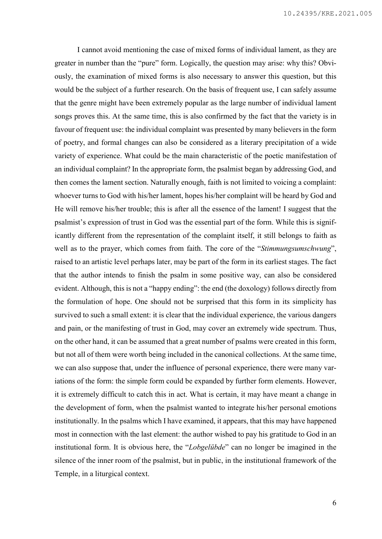I cannot avoid mentioning the case of mixed forms of individual lament, as they are greater in number than the "pure" form. Logically, the question may arise: why this? Obviously, the examination of mixed forms is also necessary to answer this question, but this would be the subject of a further research. On the basis of frequent use, I can safely assume that the genre might have been extremely popular as the large number of individual lament songs proves this. At the same time, this is also confirmed by the fact that the variety is in favour of frequent use: the individual complaint was presented by many believers in the form of poetry, and formal changes can also be considered as a literary precipitation of a wide variety of experience. What could be the main characteristic of the poetic manifestation of an individual complaint? In the appropriate form, the psalmist began by addressing God, and then comes the lament section. Naturally enough, faith is not limited to voicing a complaint: whoever turns to God with his/her lament, hopes his/her complaint will be heard by God and He will remove his/her trouble; this is after all the essence of the lament! I suggest that the psalmist's expression of trust in God was the essential part of the form. While this is significantly different from the representation of the complaint itself, it still belongs to faith as well as to the prayer, which comes from faith. The core of the "Stimmungsumschwung", raised to an artistic level perhaps later, may be part of the form in its earliest stages. The fact that the author intends to finish the psalm in some positive way, can also be considered evident. Although, this is not a "happy ending": the end (the doxology) follows directly from the formulation of hope. One should not be surprised that this form in its simplicity has survived to such a small extent: it is clear that the individual experience, the various dangers and pain, or the manifesting of trust in God, may cover an extremely wide spectrum. Thus, on the other hand, it can be assumed that a great number of psalms were created in this form, but not all of them were worth being included in the canonical collections. At the same time, we can also suppose that, under the influence of personal experience, there were many variations of the form: the simple form could be expanded by further form elements. However, it is extremely difficult to catch this in act. What is certain, it may have meant a change in the development of form, when the psalmist wanted to integrate his/her personal emotions institutionally. In the psalms which I have examined, it appears, that this may have happened most in connection with the last element: the author wished to pay his gratitude to God in an institutional form. It is obvious here, the "Lobgelübde" can no longer be imagined in the silence of the inner room of the psalmist, but in public, in the institutional framework of the Temple, in a liturgical context.